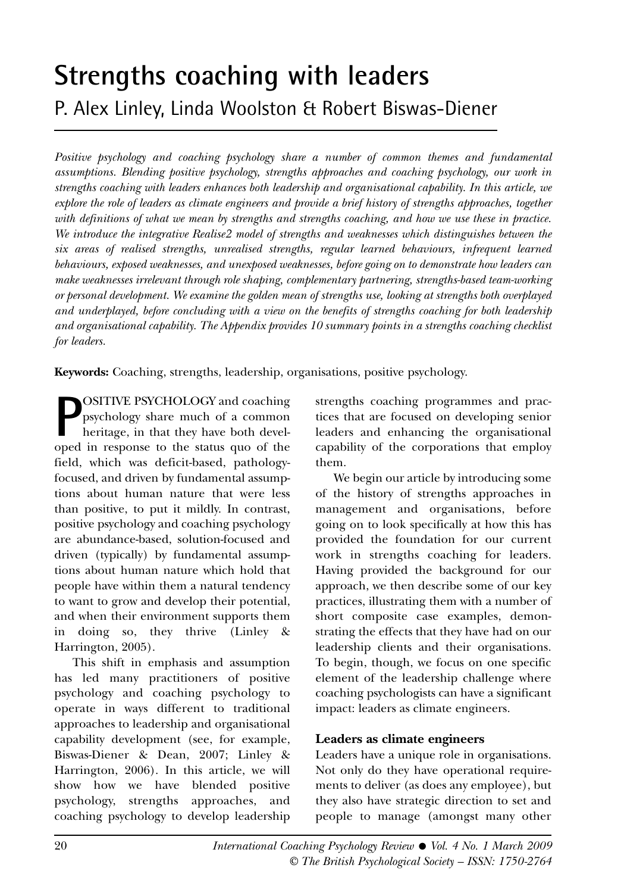# **Strengths coaching with leaders** P. Alex Linley, Linda Woolston & Robert Biswas-Diener

*Positive psychology and coaching psychology share a number of common themes and fundamental assumptions. Blending positive psychology, strengths approaches and coaching psychology, our work in strengths coaching with leaders enhances both leadership and organisational capability. In this article, we explore the role of leaders as climate engineers and provide a brief history of strengths approaches, together with definitions of what we mean by strengths and strengths coaching, and how we use these in practice. We introduce the integrative Realise2 model of strengths and weaknesses which distinguishes between the six areas of realised strengths, unrealised strengths, regular learned behaviours, infrequent learned behaviours, exposed weaknesses, and unexposed weaknesses, before going on to demonstrate how leaders can make weaknesses irrelevant through role shaping, complementary partnering, strengths-based team-working or personal development. We examine the golden mean of strengths use, looking at strengths both overplayed and underplayed, before concluding with a view on the benefits of strengths coaching for both leadership and organisational capability. The Appendix provides 10 summary points in a strengths coaching checklist for leaders.*

**Keywords:** Coaching, strengths, leadership, organisations, positive psychology.

**P**OSITIVE PSYCHOLOGY and coaching<br>psychology share much of a common<br>heritage, in that they have both devel-<br>oped in response to the status quo of the OSITIVE PSYCHOLOGY and coaching psychology share much of a common heritage, in that they have both develfield, which was deficit-based, pathologyfocused, and driven by fundamental assumptions about human nature that were less than positive, to put it mildly. In contrast, positive psychology and coaching psychology are abundance-based, solution-focused and driven (typically) by fundamental assumptions about human nature which hold that people have within them a natural tendency to want to grow and develop their potential, and when their environment supports them in doing so, they thrive (Linley & Harrington, 2005).

This shift in emphasis and assumption has led many practitioners of positive psychology and coaching psychology to operate in ways different to traditional approaches to leadership and organisational capability development (see, for example, Biswas-Diener & Dean, 2007; Linley & Harrington, 2006). In this article, we will show how we have blended positive psychology, strengths approaches, and coaching psychology to develop leadership strengths coaching programmes and practices that are focused on developing senior leaders and enhancing the organisational capability of the corporations that employ them.

We begin our article by introducing some of the history of strengths approaches in management and organisations, before going on to look specifically at how this has provided the foundation for our current work in strengths coaching for leaders. Having provided the background for our approach, we then describe some of our key practices, illustrating them with a number of short composite case examples, demonstrating the effects that they have had on our leadership clients and their organisations. To begin, though, we focus on one specific element of the leadership challenge where coaching psychologists can have a significant impact: leaders as climate engineers.

## **Leaders as climate engineers**

Leaders have a unique role in organisations. Not only do they have operational requirements to deliver (as does any employee), but they also have strategic direction to set and people to manage (amongst many other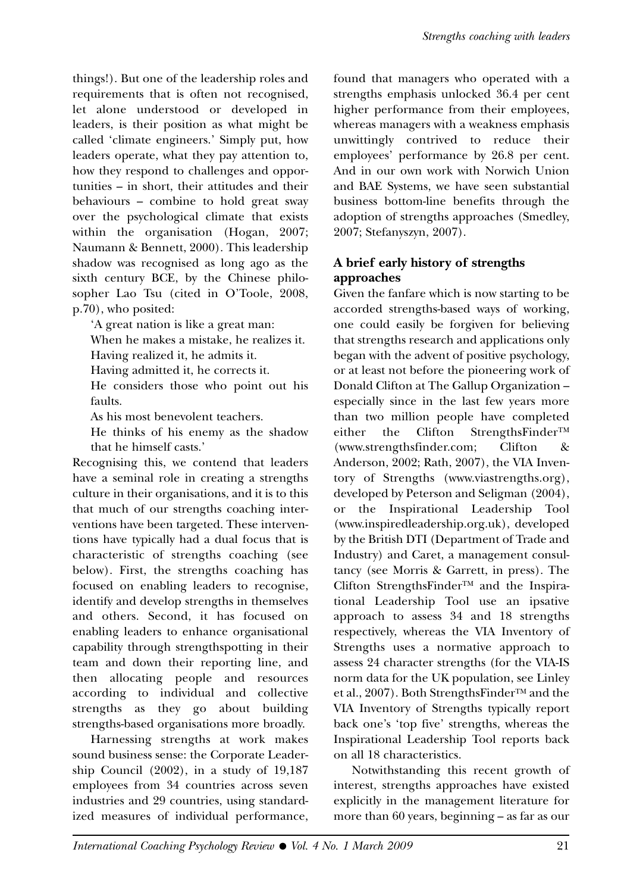things!). But one of the leadership roles and requirements that is often not recognised, let alone understood or developed in leaders, is their position as what might be called 'climate engineers.' Simply put, how leaders operate, what they pay attention to, how they respond to challenges and opportunities – in short, their attitudes and their behaviours – combine to hold great sway over the psychological climate that exists within the organisation (Hogan, 2007; Naumann & Bennett, 2000). This leadership shadow was recognised as long ago as the sixth century BCE, by the Chinese philosopher Lao Tsu (cited in O'Toole, 2008, p.70), who posited:

'A great nation is like a great man:

When he makes a mistake, he realizes it. Having realized it, he admits it.

Having admitted it, he corrects it.

He considers those who point out his

As his most benevolent teachers.

faults.

He thinks of his enemy as the shadow that he himself casts.'

Recognising this, we contend that leaders have a seminal role in creating a strengths culture in their organisations, and it is to this that much of our strengths coaching interventions have been targeted. These interventions have typically had a dual focus that is characteristic of strengths coaching (see below). First, the strengths coaching has focused on enabling leaders to recognise, identify and develop strengths in themselves and others. Second, it has focused on enabling leaders to enhance organisational capability through strengthspotting in their team and down their reporting line, and then allocating people and resources according to individual and collective strengths as they go about building strengths-based organisations more broadly.

Harnessing strengths at work makes sound business sense: the Corporate Leadership Council (2002), in a study of 19,187 employees from 34 countries across seven industries and 29 countries, using standardized measures of individual performance,

found that managers who operated with a strengths emphasis unlocked 36.4 per cent higher performance from their employees, whereas managers with a weakness emphasis unwittingly contrived to reduce their employees' performance by 26.8 per cent. And in our own work with Norwich Union and BAE Systems, we have seen substantial business bottom-line benefits through the adoption of strengths approaches (Smedley, 2007; Stefanyszyn, 2007).

## **A brief early history of strengths approaches**

Given the fanfare which is now starting to be accorded strengths-based ways of working, one could easily be forgiven for believing that strengths research and applications only began with the advent of positive psychology, or at least not before the pioneering work of Donald Clifton at The Gallup Organization – especially since in the last few years more than two million people have completed either the Clifton StrengthsFinderTM (www.strengthsfinder.com; Clifton & Anderson, 2002; Rath, 2007), the VIA Inventory of Strengths (www.viastrengths.org), developed by Peterson and Seligman (2004), or the Inspirational Leadership Tool (www.inspiredleadership.org.uk), developed by the British DTI (Department of Trade and Industry) and Caret, a management consultancy (see Morris & Garrett, in press). The Clifton StrengthsFinderTM and the Inspirational Leadership Tool use an ipsative approach to assess 34 and 18 strengths respectively, whereas the VIA Inventory of Strengths uses a normative approach to assess 24 character strengths (for the VIA-IS norm data for the UK population, see Linley et al., 2007). Both StrengthsFinder™ and the VIA Inventory of Strengths typically report back one's 'top five' strengths, whereas the Inspirational Leadership Tool reports back on all 18 characteristics.

Notwithstanding this recent growth of interest, strengths approaches have existed explicitly in the management literature for more than 60 years, beginning – as far as our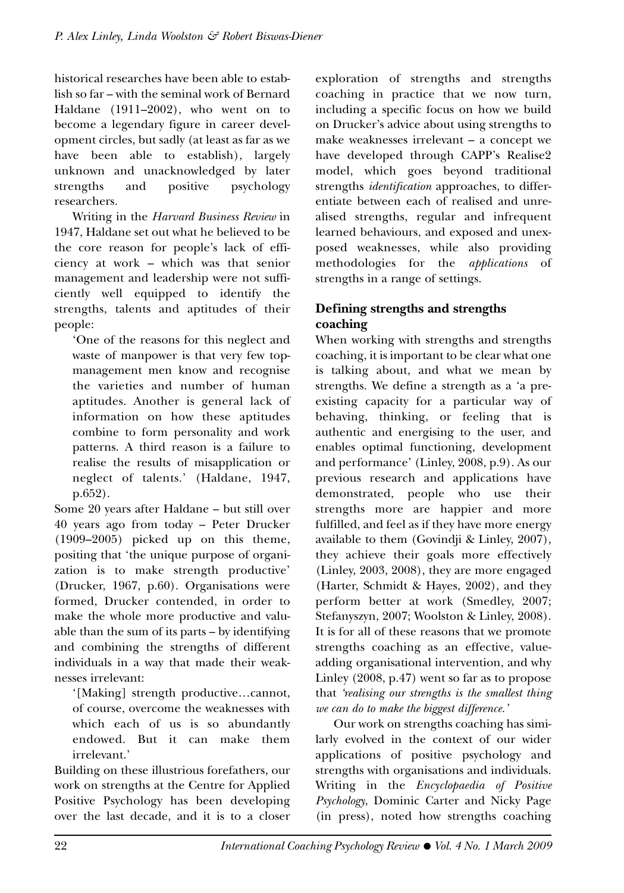historical researches have been able to establish so far – with the seminal work of Bernard Haldane (1911–2002), who went on to become a legendary figure in career development circles, but sadly (at least as far as we have been able to establish), largely unknown and unacknowledged by later strengths and positive psychology researchers.

Writing in the *Harvard Business Review* in 1947, Haldane set out what he believed to be the core reason for people's lack of efficiency at work – which was that senior management and leadership were not sufficiently well equipped to identify the strengths, talents and aptitudes of their people:

'One of the reasons for this neglect and waste of manpower is that very few topmanagement men know and recognise the varieties and number of human aptitudes. Another is general lack of information on how these aptitudes combine to form personality and work patterns. A third reason is a failure to realise the results of misapplication or neglect of talents.' (Haldane, 1947, p.652).

Some 20 years after Haldane – but still over 40 years ago from today – Peter Drucker (1909–2005) picked up on this theme, positing that 'the unique purpose of organization is to make strength productive' (Drucker, 1967, p.60). Organisations were formed, Drucker contended, in order to make the whole more productive and valuable than the sum of its parts – by identifying and combining the strengths of different individuals in a way that made their weaknesses irrelevant:

'[Making] strength productive…cannot, of course, overcome the weaknesses with which each of us is so abundantly endowed. But it can make them irrelevant.'

Building on these illustrious forefathers, our work on strengths at the Centre for Applied Positive Psychology has been developing over the last decade, and it is to a closer exploration of strengths and strengths coaching in practice that we now turn, including a specific focus on how we build on Drucker's advice about using strengths to make weaknesses irrelevant – a concept we have developed through CAPP's Realise2 model, which goes beyond traditional strengths *identification* approaches, to differentiate between each of realised and unrealised strengths, regular and infrequent learned behaviours, and exposed and unexposed weaknesses, while also providing methodologies for the *applications* of strengths in a range of settings.

## **Defining strengths and strengths coaching**

When working with strengths and strengths coaching, it is important to be clear what one is talking about, and what we mean by strengths. We define a strength as a 'a preexisting capacity for a particular way of behaving, thinking, or feeling that is authentic and energising to the user, and enables optimal functioning, development and performance' (Linley, 2008, p.9). As our previous research and applications have demonstrated, people who use their strengths more are happier and more fulfilled, and feel as if they have more energy available to them (Govindji & Linley, 2007), they achieve their goals more effectively (Linley, 2003, 2008), they are more engaged (Harter, Schmidt & Hayes, 2002), and they perform better at work (Smedley, 2007; Stefanyszyn, 2007; Woolston & Linley, 2008). It is for all of these reasons that we promote strengths coaching as an effective, valueadding organisational intervention, and why Linley (2008, p.47) went so far as to propose that *'realising our strengths is the smallest thing we can do to make the biggest difference.'*

Our work on strengths coaching has similarly evolved in the context of our wider applications of positive psychology and strengths with organisations and individuals. Writing in the *Encyclopaedia of Positive Psychology*, Dominic Carter and Nicky Page (in press), noted how strengths coaching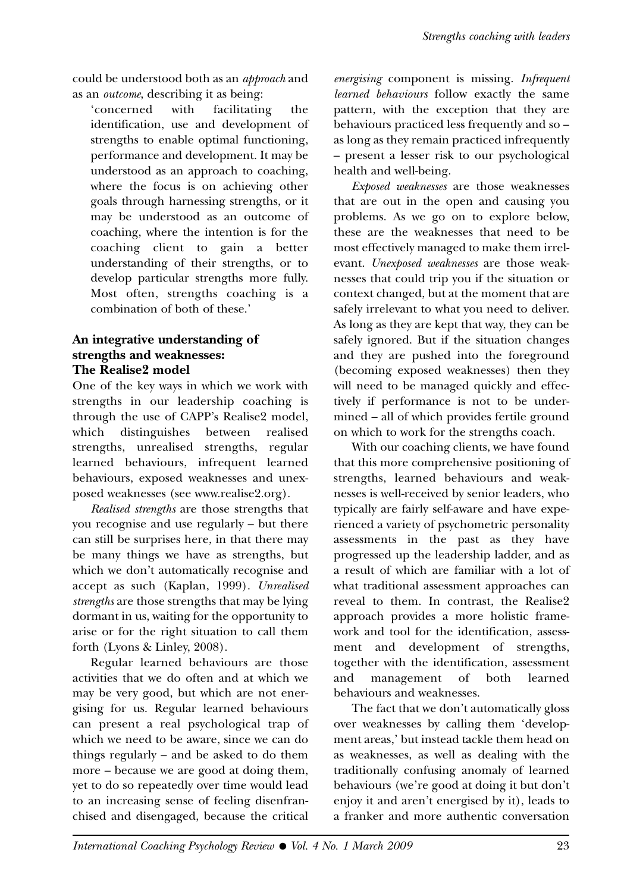could be understood both as an *approach* and as an *outcome*, describing it as being:

'concerned with facilitating the identification, use and development of strengths to enable optimal functioning, performance and development. It may be understood as an approach to coaching, where the focus is on achieving other goals through harnessing strengths, or it may be understood as an outcome of coaching, where the intention is for the coaching client to gain a better understanding of their strengths, or to develop particular strengths more fully. Most often, strengths coaching is a combination of both of these.'

## **An integrative understanding of strengths and weaknesses: The Realise2 model**

One of the key ways in which we work with strengths in our leadership coaching is through the use of CAPP's Realise2 model, which distinguishes between realised strengths, unrealised strengths, regular learned behaviours, infrequent learned behaviours, exposed weaknesses and unexposed weaknesses (see www.realise2.org).

*Realised strengths* are those strengths that you recognise and use regularly – but there can still be surprises here, in that there may be many things we have as strengths, but which we don't automatically recognise and accept as such (Kaplan, 1999). *Unrealised strengths* are those strengths that may be lying dormant in us, waiting for the opportunity to arise or for the right situation to call them forth (Lyons & Linley, 2008).

Regular learned behaviours are those activities that we do often and at which we may be very good, but which are not energising for us. Regular learned behaviours can present a real psychological trap of which we need to be aware, since we can do things regularly – and be asked to do them more – because we are good at doing them, yet to do so repeatedly over time would lead to an increasing sense of feeling disenfranchised and disengaged, because the critical

*energising* component is missing. *Infrequent learned behaviours* follow exactly the same pattern, with the exception that they are behaviours practiced less frequently and so – as long as they remain practiced infrequently – present a lesser risk to our psychological health and well-being.

*Exposed weaknesses* are those weaknesses that are out in the open and causing you problems. As we go on to explore below, these are the weaknesses that need to be most effectively managed to make them irrelevant. *Unexposed weaknesses* are those weaknesses that could trip you if the situation or context changed, but at the moment that are safely irrelevant to what you need to deliver. As long as they are kept that way, they can be safely ignored. But if the situation changes and they are pushed into the foreground (becoming exposed weaknesses) then they will need to be managed quickly and effectively if performance is not to be undermined – all of which provides fertile ground on which to work for the strengths coach.

With our coaching clients, we have found that this more comprehensive positioning of strengths, learned behaviours and weaknesses is well-received by senior leaders, who typically are fairly self-aware and have experienced a variety of psychometric personality assessments in the past as they have progressed up the leadership ladder, and as a result of which are familiar with a lot of what traditional assessment approaches can reveal to them. In contrast, the Realise2 approach provides a more holistic framework and tool for the identification, assessment and development of strengths, together with the identification, assessment and management of both learned behaviours and weaknesses.

The fact that we don't automatically gloss over weaknesses by calling them 'development areas,' but instead tackle them head on as weaknesses, as well as dealing with the traditionally confusing anomaly of learned behaviours (we're good at doing it but don't enjoy it and aren't energised by it), leads to a franker and more authentic conversation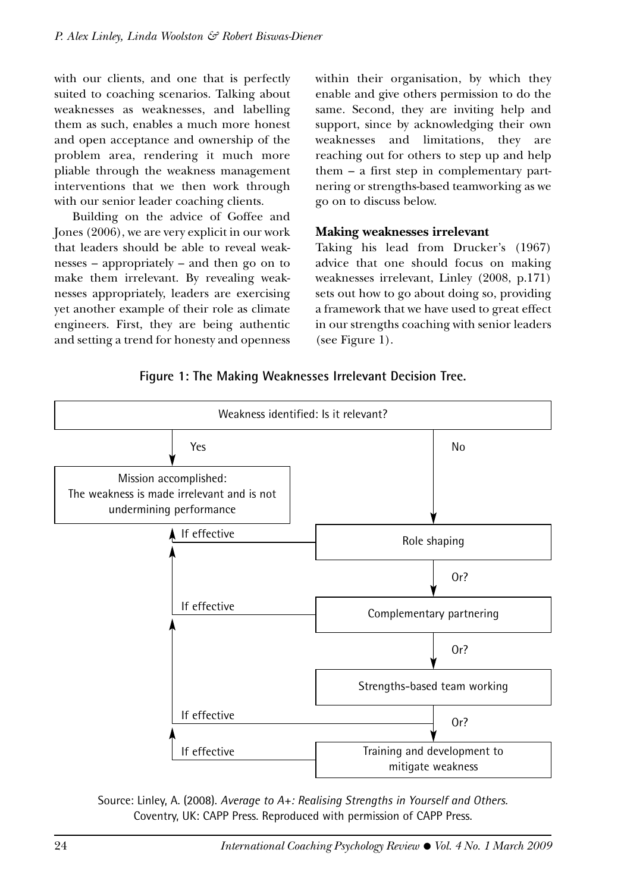with our clients, and one that is perfectly suited to coaching scenarios. Talking about weaknesses as weaknesses, and labelling them as such, enables a much more honest and open acceptance and ownership of the problem area, rendering it much more pliable through the weakness management interventions that we then work through with our senior leader coaching clients.

Building on the advice of Goffee and Jones (2006), we are very explicit in our work that leaders should be able to reveal weaknesses – appropriately – and then go on to make them irrelevant. By revealing weaknesses appropriately, leaders are exercising yet another example of their role as climate engineers. First, they are being authentic and setting a trend for honesty and openness

within their organisation, by which they enable and give others permission to do the same. Second, they are inviting help and support, since by acknowledging their own weaknesses and limitations, they are reaching out for others to step up and help them – a first step in complementary partnering or strengths-based teamworking as we go on to discuss below.

#### **Making weaknesses irrelevant**

Taking his lead from Drucker's (1967) advice that one should focus on making weaknesses irrelevant, Linley (2008, p.171) sets out how to go about doing so, providing a framework that we have used to great effect in our strengths coaching with senior leaders (see Figure 1).

## **Figure 1: The Making Weaknesses Irrelevant Decision Tree.**



Source: Linley, A. (2008). *Average to A+: Realising Strengths in Yourself and Others.* Coventry, UK: CAPP Press. Reproduced with permission of CAPP Press.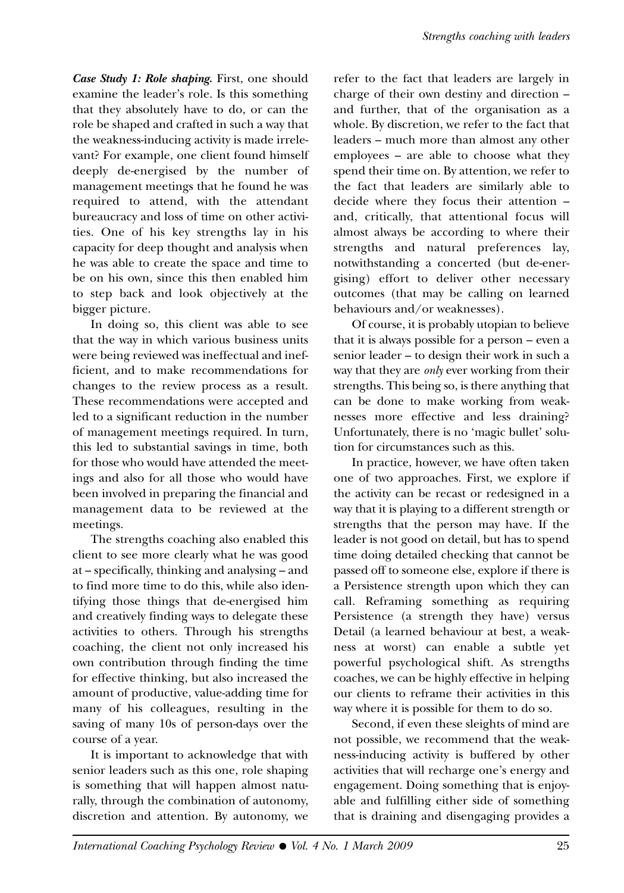*Case Study 1: Role shaping.* First, one should examine the leader's role. Is this something that they absolutely have to do, or can the role be shaped and crafted in such a way that the weakness-inducing activity is made irrelevant? For example, one client found himself deeply de-energised by the number of management meetings that he found he was required to attend, with the attendant bureaucracy and loss of time on other activities. One of his key strengths lay in his capacity for deep thought and analysis when he was able to create the space and time to be on his own, since this then enabled him to step back and look objectively at the bigger picture.

In doing so, this client was able to see that the way in which various business units were being reviewed was ineffectual and inefficient, and to make recommendations for changes to the review process as a result. These recommendations were accepted and led to a significant reduction in the number of management meetings required. In turn, this led to substantial savings in time, both for those who would have attended the meetings and also for all those who would have been involved in preparing the financial and management data to be reviewed at the meetings.

The strengths coaching also enabled this client to see more clearly what he was good at – specifically, thinking and analysing – and to find more time to do this, while also identifying those things that de-energised him and creatively finding ways to delegate these activities to others. Through his strengths coaching, the client not only increased his own contribution through finding the time for effective thinking, but also increased the amount of productive, value-adding time for many of his colleagues, resulting in the saving of many 10s of person-days over the course of a year.

It is important to acknowledge that with senior leaders such as this one, role shaping is something that will happen almost naturally, through the combination of autonomy, discretion and attention. By autonomy, we

refer to the fact that leaders are largely in charge of their own destiny and direction – and further, that of the organisation as a whole. By discretion, we refer to the fact that leaders – much more than almost any other employees – are able to choose what they spend their time on. By attention, we refer to the fact that leaders are similarly able to decide where they focus their attention – and, critically, that attentional focus will almost always be according to where their strengths and natural preferences lay, notwithstanding a concerted (but de-energising) effort to deliver other necessary outcomes (that may be calling on learned behaviours and/or weaknesses).

Of course, it is probably utopian to believe that it is always possible for a person – even a senior leader – to design their work in such a way that they are *only* ever working from their strengths. This being so, is there anything that can be done to make working from weaknesses more effective and less draining? Unfortunately, there is no 'magic bullet' solution for circumstances such as this.

In practice, however, we have often taken one of two approaches. First, we explore if the activity can be recast or redesigned in a way that it is playing to a different strength or strengths that the person may have. If the leader is not good on detail, but has to spend time doing detailed checking that cannot be passed off to someone else, explore if there is a Persistence strength upon which they can call. Reframing something as requiring Persistence (a strength they have) versus Detail (a learned behaviour at best, a weakness at worst) can enable a subtle yet powerful psychological shift. As strengths coaches, we can be highly effective in helping our clients to reframe their activities in this way where it is possible for them to do so.

Second, if even these sleights of mind are not possible, we recommend that the weakness-inducing activity is buffered by other activities that will recharge one's energy and engagement. Doing something that is enjoyable and fulfilling either side of something that is draining and disengaging provides a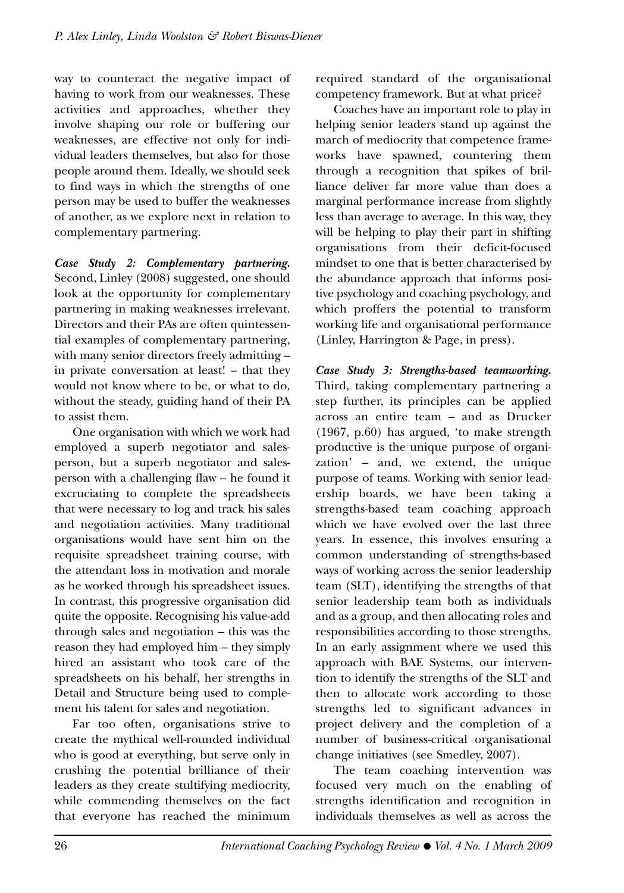way to counteract the negative impact of having to work from our weaknesses. These activities and approaches, whether they involve shaping our role or buffering our weaknesses, are effective not only for individual leaders themselves, but also for those people around them. Ideally, we should seek to find ways in which the strengths of one person may be used to buffer the weaknesses of another, as we explore next in relation to complementary partnering.

*Case Study 2: Complementary partnering.* Second, Linley (2008) suggested, one should look at the opportunity for complementary partnering in making weaknesses irrelevant. Directors and their PAs are often quintessential examples of complementary partnering, with many senior directors freely admitting – in private conversation at least! – that they would not know where to be, or what to do, without the steady, guiding hand of their PA to assist them.

One organisation with which we work had employed a superb negotiator and salesperson, but a superb negotiator and salesperson with a challenging flaw – he found it excruciating to complete the spreadsheets that were necessary to log and track his sales and negotiation activities. Many traditional organisations would have sent him on the requisite spreadsheet training course, with the attendant loss in motivation and morale as he worked through his spreadsheet issues. In contrast, this progressive organisation did quite the opposite. Recognising his value-add through sales and negotiation – this was the reason they had employed him – they simply hired an assistant who took care of the spreadsheets on his behalf, her strengths in Detail and Structure being used to complement his talent for sales and negotiation.

Far too often, organisations strive to create the mythical well-rounded individual who is good at everything, but serve only in crushing the potential brilliance of their leaders as they create stultifying mediocrity, while commending themselves on the fact that everyone has reached the minimum required standard of the organisational competency framework. But at what price?

Coaches have an important role to play in helping senior leaders stand up against the march of mediocrity that competence frameworks have spawned, countering them through a recognition that spikes of brilliance deliver far more value than does a marginal performance increase from slightly less than average to average. In this way, they will be helping to play their part in shifting organisations from their deficit-focused mindset to one that is better characterised by the abundance approach that informs positive psychology and coaching psychology, and which proffers the potential to transform working life and organisational performance (Linley, Harrington & Page, in press).

*Case Study 3: Strengths-based teamworking.* Third, taking complementary partnering a step further, its principles can be applied across an entire team – and as Drucker (1967, p.60) has argued, 'to make strength productive is the unique purpose of organization' – and, we extend, the unique purpose of teams. Working with senior leadership boards, we have been taking a strengths-based team coaching approach which we have evolved over the last three years. In essence, this involves ensuring a common understanding of strengths-based ways of working across the senior leadership team (SLT), identifying the strengths of that senior leadership team both as individuals and as a group, and then allocating roles and responsibilities according to those strengths. In an early assignment where we used this approach with BAE Systems, our intervention to identify the strengths of the SLT and then to allocate work according to those strengths led to significant advances in project delivery and the completion of a number of business-critical organisational change initiatives (see Smedley, 2007).

The team coaching intervention was focused very much on the enabling of strengths identification and recognition in individuals themselves as well as across the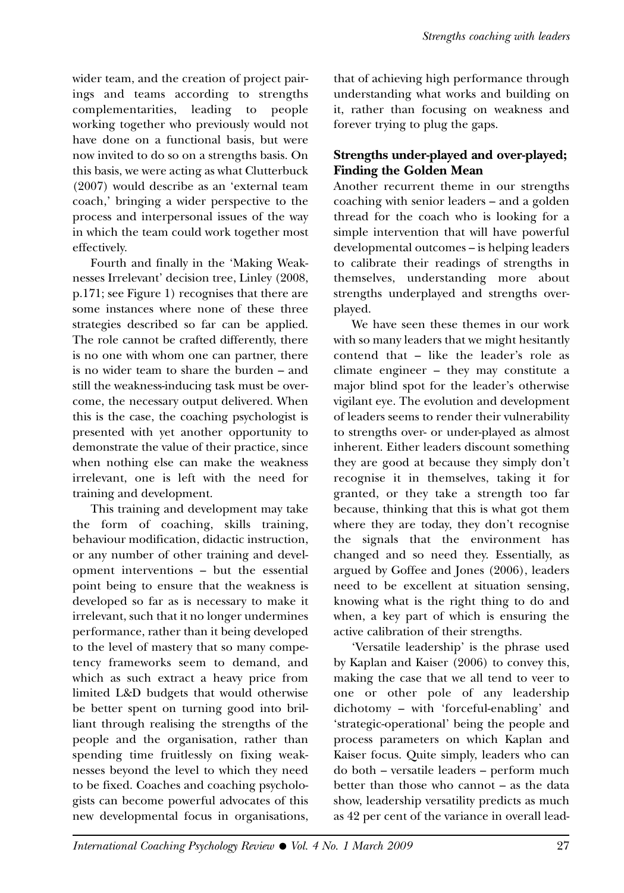wider team, and the creation of project pairings and teams according to strengths complementarities, leading to people working together who previously would not have done on a functional basis, but were now invited to do so on a strengths basis. On this basis, we were acting as what Clutterbuck (2007) would describe as an 'external team coach,' bringing a wider perspective to the process and interpersonal issues of the way in which the team could work together most effectively.

Fourth and finally in the 'Making Weaknesses Irrelevant' decision tree, Linley (2008, p.171; see Figure 1) recognises that there are some instances where none of these three strategies described so far can be applied. The role cannot be crafted differently, there is no one with whom one can partner, there is no wider team to share the burden – and still the weakness-inducing task must be overcome, the necessary output delivered. When this is the case, the coaching psychologist is presented with yet another opportunity to demonstrate the value of their practice, since when nothing else can make the weakness irrelevant, one is left with the need for training and development.

This training and development may take the form of coaching, skills training, behaviour modification, didactic instruction, or any number of other training and development interventions – but the essential point being to ensure that the weakness is developed so far as is necessary to make it irrelevant, such that it no longer undermines performance, rather than it being developed to the level of mastery that so many competency frameworks seem to demand, and which as such extract a heavy price from limited L&D budgets that would otherwise be better spent on turning good into brilliant through realising the strengths of the people and the organisation, rather than spending time fruitlessly on fixing weaknesses beyond the level to which they need to be fixed. Coaches and coaching psychologists can become powerful advocates of this new developmental focus in organisations, that of achieving high performance through understanding what works and building on it, rather than focusing on weakness and forever trying to plug the gaps.

## **Strengths under-played and over-played; Finding the Golden Mean**

Another recurrent theme in our strengths coaching with senior leaders – and a golden thread for the coach who is looking for a simple intervention that will have powerful developmental outcomes – is helping leaders to calibrate their readings of strengths in themselves, understanding more about strengths underplayed and strengths overplayed.

We have seen these themes in our work with so many leaders that we might hesitantly contend that – like the leader's role as climate engineer – they may constitute a major blind spot for the leader's otherwise vigilant eye. The evolution and development of leaders seems to render their vulnerability to strengths over- or under-played as almost inherent. Either leaders discount something they are good at because they simply don't recognise it in themselves, taking it for granted, or they take a strength too far because, thinking that this is what got them where they are today, they don't recognise the signals that the environment has changed and so need they. Essentially, as argued by Goffee and Jones (2006), leaders need to be excellent at situation sensing, knowing what is the right thing to do and when, a key part of which is ensuring the active calibration of their strengths.

'Versatile leadership' is the phrase used by Kaplan and Kaiser (2006) to convey this, making the case that we all tend to veer to one or other pole of any leadership dichotomy – with 'forceful-enabling' and 'strategic-operational' being the people and process parameters on which Kaplan and Kaiser focus. Quite simply, leaders who can do both – versatile leaders – perform much better than those who cannot – as the data show, leadership versatility predicts as much as 42 per cent of the variance in overall lead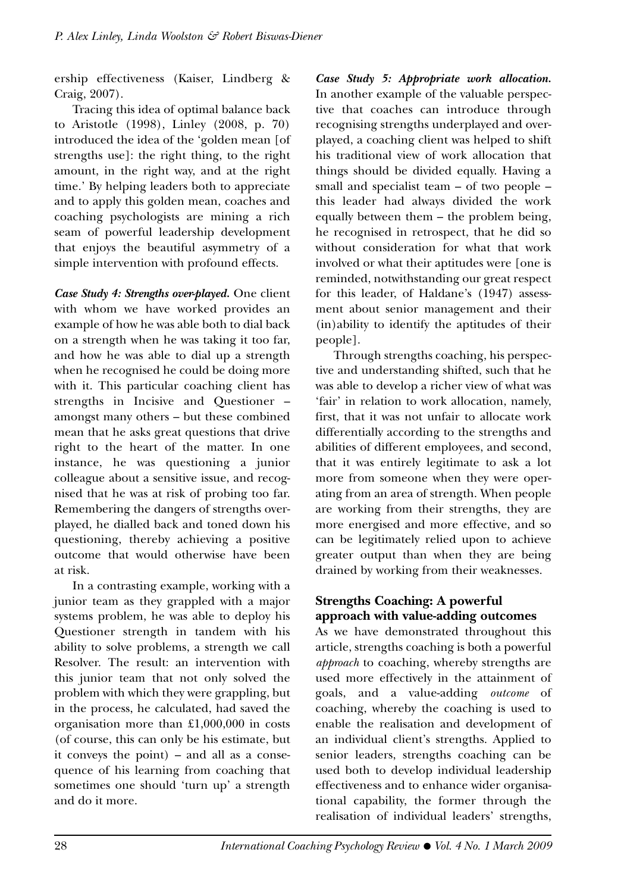ership effectiveness (Kaiser, Lindberg & Craig, 2007).

Tracing this idea of optimal balance back to Aristotle (1998), Linley (2008, p. 70) introduced the idea of the 'golden mean [of strengths use]: the right thing, to the right amount, in the right way, and at the right time.' By helping leaders both to appreciate and to apply this golden mean, coaches and coaching psychologists are mining a rich seam of powerful leadership development that enjoys the beautiful asymmetry of a simple intervention with profound effects.

*Case Study 4: Strengths over-played.* One client with whom we have worked provides an example of how he was able both to dial back on a strength when he was taking it too far, and how he was able to dial up a strength when he recognised he could be doing more with it. This particular coaching client has strengths in Incisive and Questioner – amongst many others – but these combined mean that he asks great questions that drive right to the heart of the matter. In one instance, he was questioning a junior colleague about a sensitive issue, and recognised that he was at risk of probing too far. Remembering the dangers of strengths overplayed, he dialled back and toned down his questioning, thereby achieving a positive outcome that would otherwise have been at risk.

In a contrasting example, working with a junior team as they grappled with a major systems problem, he was able to deploy his Questioner strength in tandem with his ability to solve problems, a strength we call Resolver. The result: an intervention with this junior team that not only solved the problem with which they were grappling, but in the process, he calculated, had saved the organisation more than £1,000,000 in costs (of course, this can only be his estimate, but it conveys the point) – and all as a consequence of his learning from coaching that sometimes one should 'turn up' a strength and do it more.

*Case Study 5: Appropriate work allocation.*  In another example of the valuable perspective that coaches can introduce through recognising strengths underplayed and overplayed, a coaching client was helped to shift his traditional view of work allocation that things should be divided equally. Having a small and specialist team – of two people – this leader had always divided the work equally between them – the problem being, he recognised in retrospect, that he did so without consideration for what that work involved or what their aptitudes were [one is reminded, notwithstanding our great respect for this leader, of Haldane's (1947) assessment about senior management and their (in)ability to identify the aptitudes of their people].

Through strengths coaching, his perspective and understanding shifted, such that he was able to develop a richer view of what was 'fair' in relation to work allocation, namely, first, that it was not unfair to allocate work differentially according to the strengths and abilities of different employees, and second, that it was entirely legitimate to ask a lot more from someone when they were operating from an area of strength. When people are working from their strengths, they are more energised and more effective, and so can be legitimately relied upon to achieve greater output than when they are being drained by working from their weaknesses.

#### **Strengths Coaching: A powerful approach with value-adding outcomes**

As we have demonstrated throughout this article, strengths coaching is both a powerful *approach* to coaching, whereby strengths are used more effectively in the attainment of goals, and a value-adding *outcome* of coaching, whereby the coaching is used to enable the realisation and development of an individual client's strengths. Applied to senior leaders, strengths coaching can be used both to develop individual leadership effectiveness and to enhance wider organisational capability, the former through the realisation of individual leaders' strengths,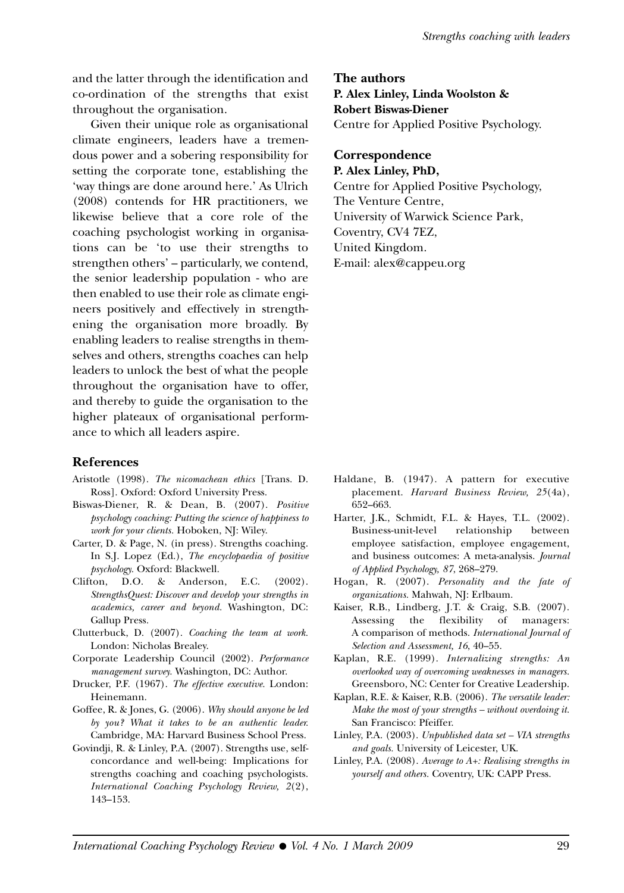and the latter through the identification and co-ordination of the strengths that exist throughout the organisation.

Given their unique role as organisational climate engineers, leaders have a tremendous power and a sobering responsibility for setting the corporate tone, establishing the 'way things are done around here.' As Ulrich (2008) contends for HR practitioners, we likewise believe that a core role of the coaching psychologist working in organisations can be 'to use their strengths to strengthen others' – particularly, we contend, the senior leadership population - who are then enabled to use their role as climate engineers positively and effectively in strengthening the organisation more broadly. By enabling leaders to realise strengths in themselves and others, strengths coaches can help leaders to unlock the best of what the people throughout the organisation have to offer, and thereby to guide the organisation to the higher plateaux of organisational performance to which all leaders aspire.

#### **References**

- Aristotle (1998). *The nicomachean ethics* [Trans. D. Ross]. Oxford: Oxford University Press.
- Biswas-Diener, R. & Dean, B. (2007). *Positive psychology coaching: Putting the science of happiness to work for your clients.* Hoboken, NJ: Wiley.
- Carter, D. & Page, N. (in press). Strengths coaching. In S.J. Lopez (Ed.), *The encyclopaedia of positive psychology.* Oxford: Blackwell.
- Clifton, D.O. & Anderson, E.C. (2002). *StrengthsQuest: Discover and develop your strengths in academics, career and beyond.* Washington, DC: Gallup Press.
- Clutterbuck, D. (2007). *Coaching the team at work.* London: Nicholas Brealey.
- Corporate Leadership Council (2002). *Performance management survey.* Washington, DC: Author.
- Drucker, P.F. (1967). *The effective executive.* London: Heinemann.
- Goffee, R. & Jones, G. (2006). *Why should anyone be led by you? What it takes to be an authentic leader.* Cambridge, MA: Harvard Business School Press.
- Govindji, R. & Linley, P.A. (2007). Strengths use, selfconcordance and well-being: Implications for strengths coaching and coaching psychologists. *International Coaching Psychology Review, 2*(2), 143–153.

**The authors P. Alex Linley, Linda Woolston & Robert Biswas-Diener** Centre for Applied Positive Psychology.

#### **Correspondence P. Alex Linley, PhD,**

Centre for Applied Positive Psychology, The Venture Centre, University of Warwick Science Park, Coventry, CV4 7EZ, United Kingdom. E-mail: alex@cappeu.org

- Haldane, B. (1947). A pattern for executive placement. *Harvard Business Review, 25*(4a), 652–663.
- Harter, J.K., Schmidt, F.L. & Hayes, T.L. (2002). Business-unit-level relationship between employee satisfaction, employee engagement, and business outcomes: A meta-analysis. *Journal of Applied Psychology, 87*, 268–279.
- Hogan, R. (2007). *Personality and the fate of organizations.* Mahwah, NJ: Erlbaum.
- Kaiser, R.B., Lindberg, J.T. & Craig, S.B. (2007). Assessing the flexibility of managers: A comparison of methods. *International Journal of Selection and Assessment, 16*, 40–55.
- Kaplan, R.E. (1999). *Internalizing strengths: An overlooked way of overcoming weaknesses in managers.* Greensboro, NC: Center for Creative Leadership.
- Kaplan, R.E. & Kaiser, R.B. (2006). *The versatile leader: Make the most of your strengths – without overdoing it.* San Francisco: Pfeiffer.
- Linley, P.A. (2003). *Unpublished data set VIA strengths and goals.* University of Leicester, UK.
- Linley, P.A. (2008). *Average to A+: Realising strengths in yourself and others.* Coventry, UK: CAPP Press.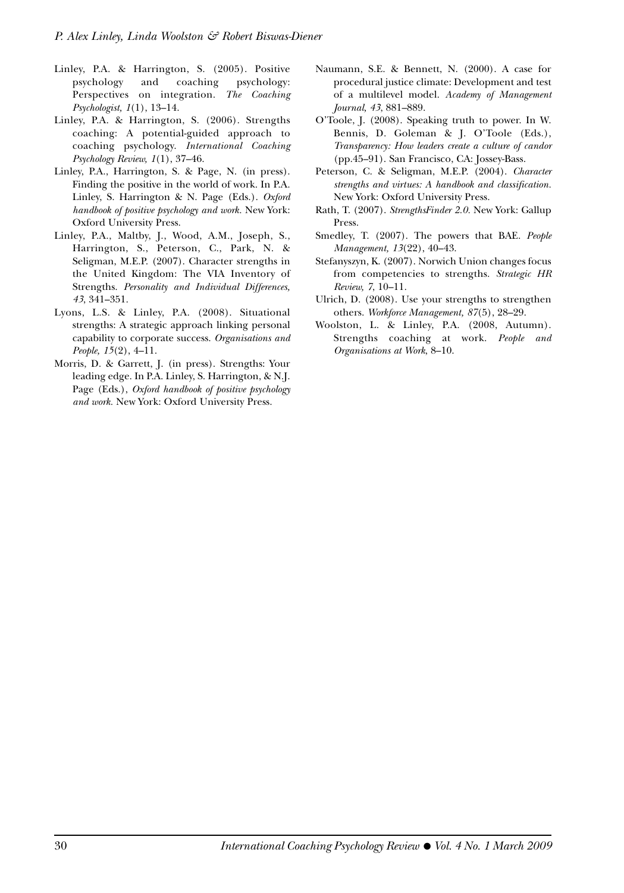- Linley, P.A. & Harrington, S. (2005). Positive psychology and coaching psychology: Perspectives on integration. *The Coaching Psychologist, 1*(1), 13–14.
- Linley, P.A. & Harrington, S. (2006). Strengths coaching: A potential-guided approach to coaching psychology. *International Coaching Psychology Review, 1*(1), 37–46.
- Linley, P.A., Harrington, S. & Page, N. (in press). Finding the positive in the world of work. In P.A. Linley, S. Harrington & N. Page (Eds.). *Oxford handbook of positive psychology and work.* New York: Oxford University Press.
- Linley, P.A., Maltby, J., Wood, A.M., Joseph, S., Harrington, S., Peterson, C., Park, N. & Seligman, M.E.P. (2007). Character strengths in the United Kingdom: The VIA Inventory of Strengths. *Personality and Individual Differences, 43*, 341–351.
- Lyons, L.S. & Linley, P.A. (2008). Situational strengths: A strategic approach linking personal capability to corporate success. *Organisations and People, 15*(2), 4–11.
- Morris, D. & Garrett, J. (in press). Strengths: Your leading edge. In P.A. Linley, S. Harrington, & N.J. Page (Eds.), *Oxford handbook of positive psychology and work.* New York: Oxford University Press.
- Naumann, S.E. & Bennett, N. (2000). A case for procedural justice climate: Development and test of a multilevel model. *Academy of Management Journal, 43*, 881–889.
- O'Toole, J. (2008). Speaking truth to power. In W. Bennis, D. Goleman & J. O'Toole (Eds.), *Transparency: How leaders create a culture of candor* (pp.45–91). San Francisco, CA: Jossey-Bass.
- Peterson, C. & Seligman, M.E.P. (2004). *Character strengths and virtues: A handbook and classification.* New York: Oxford University Press.
- Rath, T. (2007). *StrengthsFinder 2.0.* New York: Gallup Press.
- Smedley, T. (2007). The powers that BAE. *People Management, 13*(22), 40–43.
- Stefanyszyn, K. (2007). Norwich Union changes focus from competencies to strengths. *Strategic HR Review, 7*, 10–11.
- Ulrich, D. (2008). Use your strengths to strengthen others. *Workforce Management, 87*(5), 28–29.
- Woolston, L. & Linley, P.A. (2008, Autumn). Strengths coaching at work. *People and Organisations at Work*, 8–10.